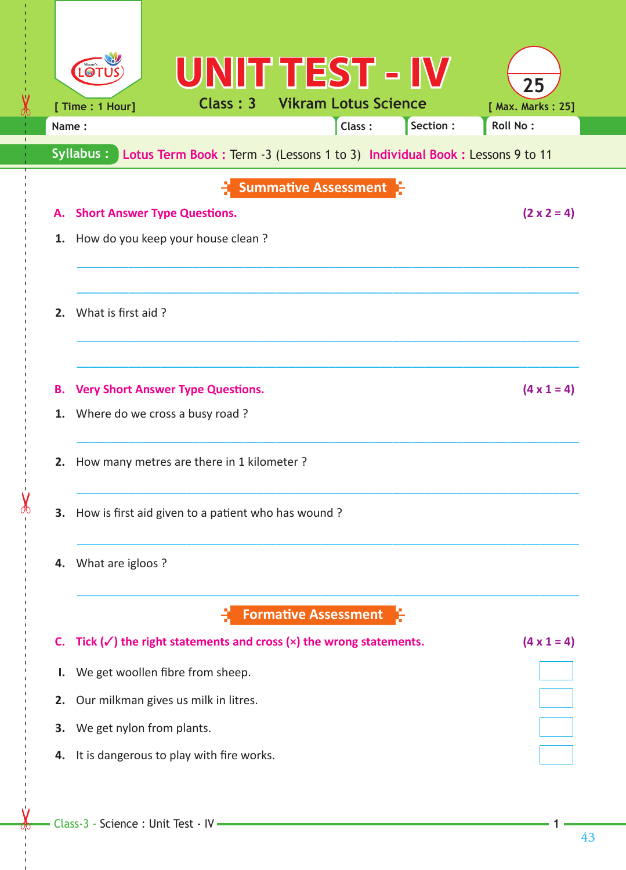|                                                                                           | UNIT TEST - IV                                                                 |                         |  |  |  |  |  |  |
|-------------------------------------------------------------------------------------------|--------------------------------------------------------------------------------|-------------------------|--|--|--|--|--|--|
|                                                                                           | <b>Class: 3 Vikram Lotus Science</b><br>[ Time : 1 Hour]                       | 25<br>[ Max. Marks: 25] |  |  |  |  |  |  |
| Name:                                                                                     | Class:<br>Section :                                                            | <b>Roll No:</b>         |  |  |  |  |  |  |
| Syllabus:<br>Lotus Term Book : Term -3 (Lessons 1 to 3) Individual Book : Lessons 9 to 11 |                                                                                |                         |  |  |  |  |  |  |
|                                                                                           |                                                                                |                         |  |  |  |  |  |  |
|                                                                                           | <b>Summative Assessment</b>                                                    |                         |  |  |  |  |  |  |
|                                                                                           | $(2 \times 2 = 4)$<br><b>Short Answer Type Questions.</b><br>А.                |                         |  |  |  |  |  |  |
| 1.                                                                                        | How do you keep your house clean?                                              |                         |  |  |  |  |  |  |
|                                                                                           |                                                                                |                         |  |  |  |  |  |  |
| $\mathbf{z}$                                                                              | What is first aid?                                                             |                         |  |  |  |  |  |  |
|                                                                                           |                                                                                |                         |  |  |  |  |  |  |
|                                                                                           |                                                                                |                         |  |  |  |  |  |  |
| В.                                                                                        | <b>Very Short Answer Type Questions.</b><br>$(4 \times 1 = 4)$                 |                         |  |  |  |  |  |  |
| 1.                                                                                        | Where do we cross a busy road?                                                 |                         |  |  |  |  |  |  |
|                                                                                           |                                                                                |                         |  |  |  |  |  |  |
| 2.                                                                                        | How many metres are there in 1 kilometer ?                                     |                         |  |  |  |  |  |  |
|                                                                                           |                                                                                |                         |  |  |  |  |  |  |
| З.                                                                                        | How is first aid given to a patient who has wound?                             |                         |  |  |  |  |  |  |
|                                                                                           |                                                                                |                         |  |  |  |  |  |  |
| 4.                                                                                        | What are igloos?                                                               |                         |  |  |  |  |  |  |
|                                                                                           |                                                                                |                         |  |  |  |  |  |  |
|                                                                                           | <b>Formative Assessment</b>                                                    |                         |  |  |  |  |  |  |
| C.                                                                                        | Tick $(\checkmark)$ the right statements and cross $(x)$ the wrong statements. | $(4 \times 1 = 4)$      |  |  |  |  |  |  |
| ı.                                                                                        | We get woollen fibre from sheep.                                               |                         |  |  |  |  |  |  |
| 2.                                                                                        | Our milkman gives us milk in litres.                                           |                         |  |  |  |  |  |  |
| З.                                                                                        | We get nylon from plants.                                                      |                         |  |  |  |  |  |  |
| 4.                                                                                        | It is dangerous to play with fire works.                                       |                         |  |  |  |  |  |  |
|                                                                                           |                                                                                |                         |  |  |  |  |  |  |

 $\blacklozenge$ 

 $\mathbf{I}$